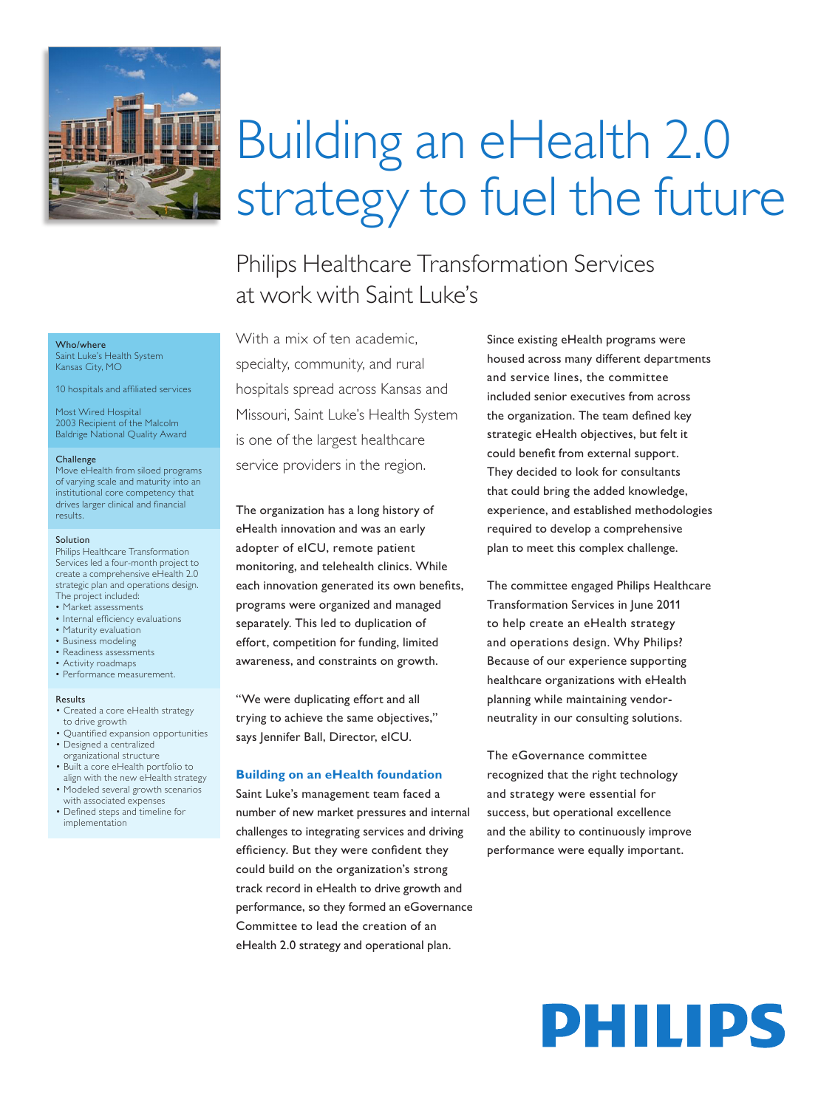

#### Who/where

Saint Luke's Health System Kansas City, MO

10 hospitals and affiliated services

Most Wired Hospital 2003 Recipient of the Malcolm Baldrige National Quality Award

#### Challenge

Move eHealth from siloed programs of varying scale and maturity into an institutional core competency that drives larger clinical and financial results.

#### Solution

Philips Healthcare Transformation Services led a four-month project to create a comprehensive eHealth 2.0 strategic plan and operations design. The project included:

- Market assessments
- Internal efficiency evaluations
- Maturity evaluation
- Business modeling
- Readiness assessments
- Activity roadmaps • Performance measurement.

#### Results

- Created a core eHealth strategy to drive growth
- Quantified expansion opportunities • Designed a centralized
- organizational structure
- Built a core eHealth portfolio to align with the new eHealth strategy
- Modeled several growth scenarios with associated expenses
- Defined steps and timeline for implementation

# Building an eHealth 2.0 strategy to fuel the future

Philips Healthcare Transformation Services at work with Saint Luke's

With a mix of ten academic, specialty, community, and rural hospitals spread across Kansas and Missouri, Saint Luke's Health System is one of the largest healthcare service providers in the region.

The organization has a long history of eHealth innovation and was an early adopter of eICU, remote patient monitoring, and telehealth clinics. While each innovation generated its own benefits, programs were organized and managed separately. This led to duplication of effort, competition for funding, limited awareness, and constraints on growth.

"We were duplicating effort and all trying to achieve the same objectives," says Jennifer Ball, Director, eICU.

#### **Building on an eHealth foundation**

Saint Luke's management team faced a number of new market pressures and internal challenges to integrating services and driving efficiency. But they were confident they could build on the organization's strong track record in eHealth to drive growth and performance, so they formed an eGovernance Committee to lead the creation of an eHealth 2.0 strategy and operational plan.

Since existing eHealth programs were housed across many different departments and service lines, the committee included senior executives from across the organization. The team defined key strategic eHealth objectives, but felt it could benefit from external support. They decided to look for consultants that could bring the added knowledge, experience, and established methodologies required to develop a comprehensive plan to meet this complex challenge.

The committee engaged Philips Healthcare Transformation Services in June 2011 to help create an eHealth strategy and operations design. Why Philips? Because of our experience supporting healthcare organizations with eHealth planning while maintaining vendorneutrality in our consulting solutions.

The eGovernance committee recognized that the right technology and strategy were essential for success, but operational excellence and the ability to continuously improve performance were equally important.

# PHILIPS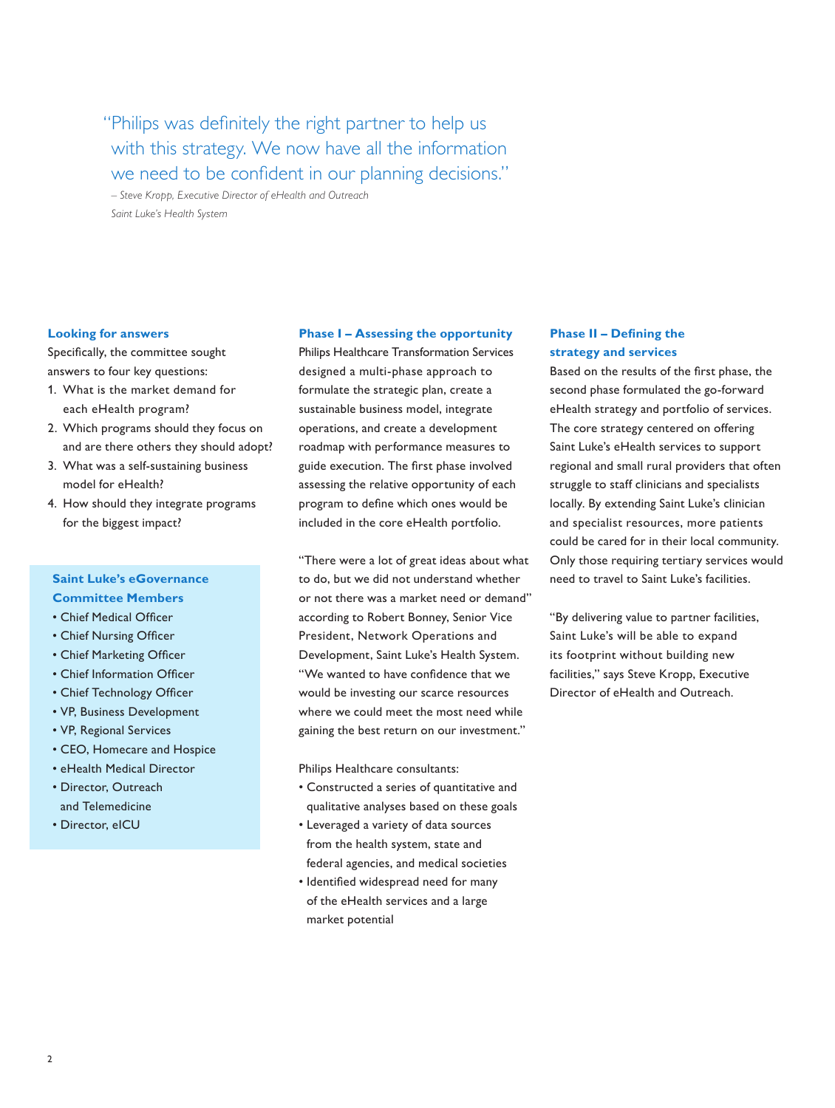"Philips was definitely the right partner to help us with this strategy. We now have all the information we need to be confident in our planning decisions."

*– Steve Kropp, Executive Director of eHealth and Outreach Saint Luke's Health System*

#### **Looking for answers**

Specifically, the committee sought answers to four key questions:

- 1. What is the market demand for each eHealth program?
- 2. Which programs should they focus on and are there others they should adopt?
- 3. What was a self-sustaining business model for eHealth?
- 4. How should they integrate programs for the biggest impact?

### **Saint Luke's eGovernance**

- **Committee Members**
- Chief Medical Officer
- Chief Nursing Officer
- Chief Marketing Officer
- Chief Information Officer
- Chief Technology Officer
- VP, Business Development
- VP, Regional Services
- CEO, Homecare and Hospice
- eHealth Medical Director
- Director, Outreach and Telemedicine
- Director, eICU

#### **Phase I – Assessing the opportunity**

Philips Healthcare Transformation Services designed a multi-phase approach to formulate the strategic plan, create a sustainable business model, integrate operations, and create a development roadmap with performance measures to guide execution. The first phase involved assessing the relative opportunity of each program to define which ones would be included in the core eHealth portfolio.

"There were a lot of great ideas about what to do, but we did not understand whether or not there was a market need or demand" according to Robert Bonney, Senior Vice President, Network Operations and Development, Saint Luke's Health System. "We wanted to have confidence that we would be investing our scarce resources where we could meet the most need while gaining the best return on our investment."

Philips Healthcare consultants:

- Constructed a series of quantitative and qualitative analyses based on these goals
- Leveraged a variety of data sources from the health system, state and federal agencies, and medical societies
- Identified widespread need for many of the eHealth services and a large market potential

### **Phase II – Defining the strategy and services**

Based on the results of the first phase, the second phase formulated the go-forward eHealth strategy and portfolio of services. The core strategy centered on offering Saint Luke's eHealth services to support regional and small rural providers that often struggle to staff clinicians and specialists locally. By extending Saint Luke's clinician and specialist resources, more patients could be cared for in their local community. Only those requiring tertiary services would need to travel to Saint Luke's facilities.

"By delivering value to partner facilities, Saint Luke's will be able to expand its footprint without building new facilities," says Steve Kropp, Executive Director of eHealth and Outreach.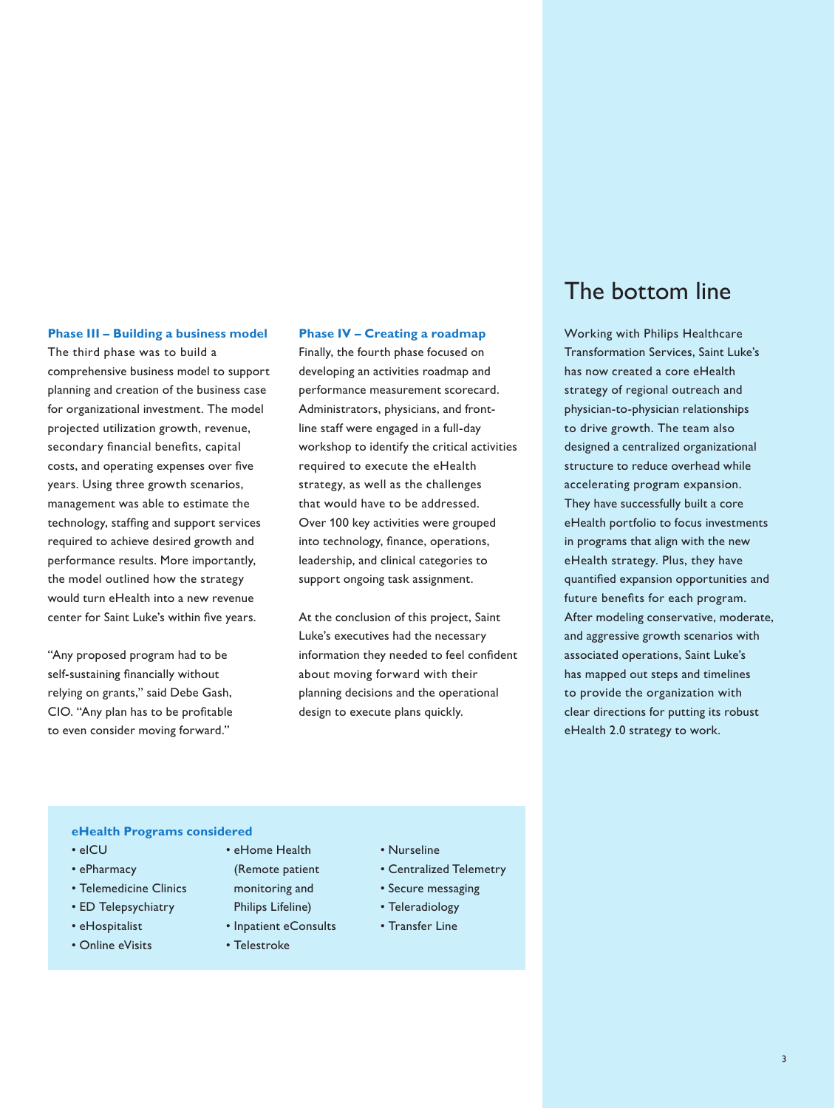#### **Phase III – Building a business model**

The third phase was to build a comprehensive business model to support planning and creation of the business case for organizational investment. The model projected utilization growth, revenue, secondary financial benefits, capital costs, and operating expenses over five years. Using three growth scenarios, management was able to estimate the technology, staffing and support services required to achieve desired growth and performance results. More importantly, the model outlined how the strategy would turn eHealth into a new revenue center for Saint Luke's within five years.

"Any proposed program had to be self-sustaining financially without relying on grants," said Debe Gash, CIO. "Any plan has to be profitable to even consider moving forward."

#### **Phase IV – Creating a roadmap**

Finally, the fourth phase focused on developing an activities roadmap and performance measurement scorecard. Administrators, physicians, and frontline staff were engaged in a full-day workshop to identify the critical activities required to execute the eHealth strategy, as well as the challenges that would have to be addressed. Over 100 key activities were grouped into technology, finance, operations, leadership, and clinical categories to support ongoing task assignment.

At the conclusion of this project, Saint Luke's executives had the necessary information they needed to feel confident about moving forward with their planning decisions and the operational design to execute plans quickly.

## The bottom line

Working with Philips Healthcare Transformation Services, Saint Luke's has now created a core eHealth strategy of regional outreach and physician-to-physician relationships to drive growth. The team also designed a centralized organizational structure to reduce overhead while accelerating program expansion. They have successfully built a core eHealth portfolio to focus investments in programs that align with the new eHealth strategy. Plus, they have quantified expansion opportunities and future benefits for each program. After modeling conservative, moderate, and aggressive growth scenarios with associated operations, Saint Luke's has mapped out steps and timelines to provide the organization with clear directions for putting its robust eHealth 2.0 strategy to work.

#### **eHealth Programs considered**

- eICU
- ePharmacy
- Telemedicine Clinics
- ED Telepsychiatry
- eHospitalist
- Online eVisits
- eHome Health
- (Remote patient
- monitoring and Philips Lifeline)
- Inpatient eConsults
- Telestroke
- Nurseline
- Centralized Telemetry
- Secure messaging
- Teleradiology
- Transfer Line